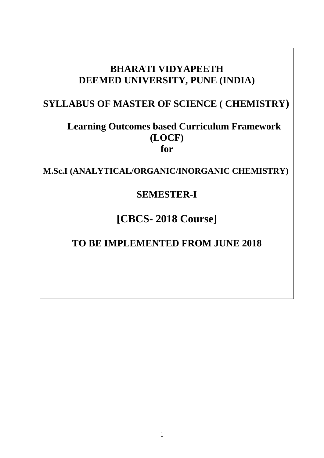# **BHARATI VIDYAPEETH DEEMED UNIVERSITY, PUNE (INDIA)**

# **SYLLABUS OF MASTER OF SCIENCE ( CHEMISTRY)**

# **Learning Outcomes based Curriculum Framework (LOCF) for**

**M.Sc.I (ANALYTICAL/ORGANIC/INORGANIC CHEMISTRY)**

# **SEMESTER-I**

# **[CBCS- 2018 Course]**

# **TO BE IMPLEMENTED FROM JUNE 2018**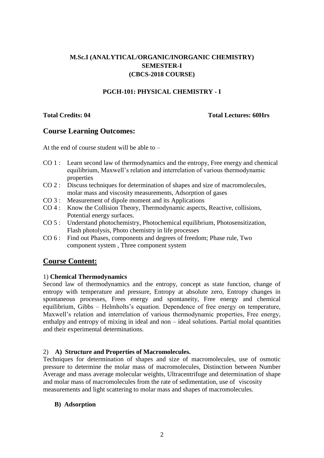## **M.Sc.I (ANALYTICAL/ORGANIC/INORGANIC CHEMISTRY) SEMESTER-I (CBCS-2018 COURSE)**

### **PGCH-101: PHYSICAL CHEMISTRY - I**

#### **Total Credits: 04 Total Lectures: 60Hrs**

## **Course Learning Outcomes:**

At the end of course student will be able to –

- CO 1 : Learn second law of thermodynamics and the entropy, Free energy and chemical equilibrium, Maxwell's relation and interrelation of various thermodynamic properties
- CO 2 : Discuss techniques for determination of shapes and size of macromolecules, molar mass and viscosity measurements, Adsorption of gases
- CO 3 : Measurement of dipole moment and its Applications
- CO 4 : Know the Collision Theory, Thermodynamic aspects, Reactive, collisions, Potential energy surfaces.
- CO 5 : Understand photochemistry, Photochemical equilibrium, Photosensitization, Flash photolysis, Photo chemistry in life processes
- CO 6 : Find out Phases, components and degrees of freedom; Phase rule, Two component system , Three component system

## **Course Content:**

### 1) **Chemical Thermodynamics**

Second law of thermodynamics and the entropy, concept as state function, change of entropy with temperature and pressure, Entropy at absolute zero, Entropy changes in spontaneous processes, Frees energy and spontaneity, Free energy and chemical equilibrium, Gibbs – Helmholts's equation. Dependence of free energy on temperature, Maxwell's relation and interrelation of various thermodynamic properties, Free energy, enthalpy and entropy of mixing in ideal and non – ideal solutions. Partial molal quantities and their experimental determinations.

### 2) **A) Structure and Properties of Macromolecules.**

Techniques for determination of shapes and size of macromolecules, use of osmotic pressure to determine the molar mass of macromolecules, Distinction between Number Average and mass average molecular weights, Ultracentrifuge and determination of shape and molar mass of macromolecules from the rate of sedimentation, use of viscosity measurements and light scattering to molar mass and shapes of macromolecules.

### **B) Adsorption**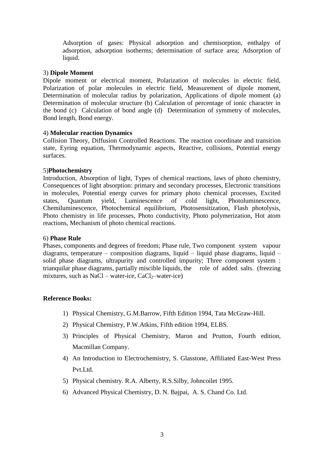Adsorption of gases: Physical adsorption and chemisorption, enthalpy of adsorption, adsorption isotherms; determination of surface area; Adsorption of liquid.

#### 3) **Dipole Moment**

Dipole moment or electrical moment, Polarization of molecules in electric field, Polarization of polar molecules in electric field, Measurement of dipole moment, Determination of molecular radius by polarization, Applications of dipole moment (a) Determination of molecular structure (b) Calculation of percentage of ionic character in the bond (c) Calculation of bond angle (d) Determination of symmetry of molecules, Bond length, Bond energy.

#### 4) **Molecular reaction Dynamics**

Collision Theory, Diffusion Controlled Reactions. The reaction coordinate and transition state, Eyring equation, Thermodynamic aspects, Reactive, collisions, Potential energy surfaces.

#### 5)**Photochemistry**

Introduction, Absorption of light, Types of chemical reactions, laws of photo chemistry, Consequences of light absorption: primary and secondary processes, Electronic transitions in molecules, Potential energy curves for primary photo chemical processes, Excited states, Quantum yield, Luminescence of cold light, Photoluminescence, Chemiluminescence, Photochemical equilibrium, Photosensitization, Flash photolysis, Photo chemistry in life processes, Photo conductivity, Photo polymerization, Hot atom reactions, Mechanism of photo chemical reactions.

#### 6) **Phase Rule**

Phases, components and degrees of freedom; Phase rule, Two component system vapour diagrams, temperature – composition diagrams, liquid – liquid phase diagrams, liquid – solid phase diagrams, ultrapurity and controlled impurity; Three component system : trianquilar phase diagrams, partially miscible liquids, the role of added salts. (freezing mixtures, such as NaCl – water-ice,  $CaCl<sub>2</sub>$  –water-ice)

#### **Reference Books:**

- 1) Physical Chemistry, G.M.Barrow, Fifth Edition 1994, Tata McGraw-Hill.
- 2) Physical Chemistry, P.W.Atkins, Fifth edition 1994, ELBS.
- 3) Principles of Physical Chemistry, Maron and Prutton, Fourth edition, Macmillan Company.
- 4) An Introduction to Electrochemistry, S. Glasstone, Affiliated East-West Press Pvt.Ltd.
- 5) Physical chemistry. R.A. Alberty, R.S.Silby, Johncoilet 1995.
- 6) Advanced Physical Chemistry, D. N. Bajpai, A. S. Chand Co. Ltd.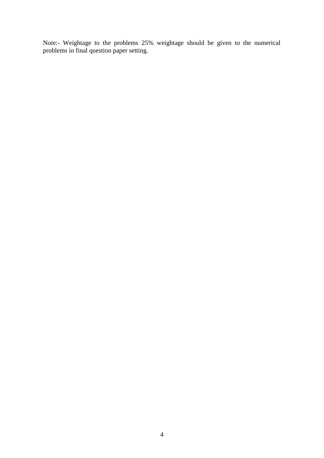Note:- Weightage to the problems 25% weightage should be given to the numerical problems in final question paper setting.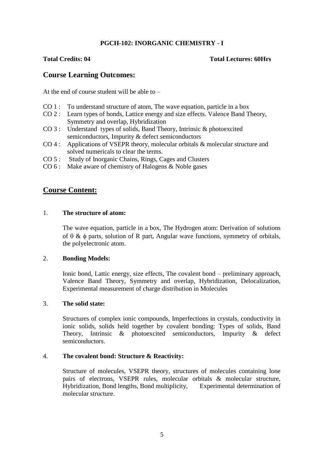### **PGCH-102: INORGANIC CHEMISTRY - I**

#### **Total Credits: 04 Total Lectures: 60Hrs**

## **Course Learning Outcomes:**

At the end of course student will be able to  $-$ 

- CO 1 : To understand structure of atom, The wave equation, particle in a box
- CO 2 : Learn types of bonds, Lattice energy and size effects. Valence Band Theory, Symmetry and overlap, Hybridization
- CO 3 : Understand types of solids, Band Theory, Intrinsic & photoexcited semiconductors, Impurity & defect semiconductors
- CO 4 : Applications of VSEPR theory, molecular orbitals & molecular structure and solved numericals to clear the terms.
- CO 5 : Study of Inorganic Chains, Rings, Cages and Clusters
- CO 6 : Make aware of chemistry of Halogens & Noble gases

## **Course Content:**

#### 1. **The structure of atom:**

The wave equation, particle in a box, The Hydrogen atom: Derivation of solutions of  $\theta \& \phi$  parts, solution of R part, Angular wave functions, symmetry of orbitals, the polyelectronic atom.

#### 2. **Bonding Models:**

Ionic bond, Lattic energy, size effects, The covalent bond – preliminary approach, Valence Band Theory, Symmetry and overlap, Hybridization, Delocalization, Experimental measurement of charge distribution in Molecules

#### 3. **The solid state:**

Structures of complex ionic compounds, Imperfections in crystals, conductivity in ionic solids, solids held together by covalent bonding: Types of solids, Band Theory, Intrinsic & photoexcited semiconductors, Impurity & defect semiconductors.

#### 4. **The covalent bond: Structure & Reactivity:**

Structure of molecules, VSEPR theory, structures of molecules containing lone pairs of electrons, VSEPR rules, molecular orbitals & molecular structure, Hybridization, Bond lengths, Bond multiplicity, Experimental determination of molecular structure.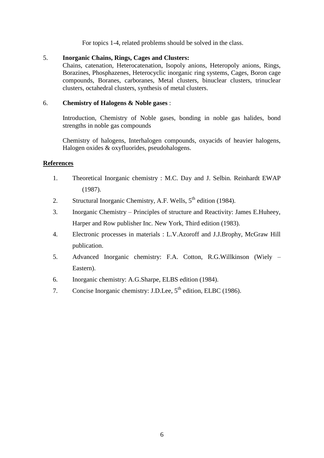For topics 1-4, related problems should be solved in the class.

### 5. **Inorganic Chains, Rings, Cages and Clusters:**

Chains, catenation, Heterocatenation, Isopoly anions, Heteropoly anions, Rings, Borazines, Phosphazenes, Heterocyclic inorganic ring systems, Cages, Boron cage compounds, Boranes, carboranes, Metal clusters, binuclear clusters, trinuclear clusters, octahedral clusters, synthesis of metal clusters.

### 6. **Chemistry of Halogens & Noble gases** :

Introduction, Chemistry of Noble gases, bonding in noble gas halides, bond strengths in noble gas compounds

Chemistry of halogens, Interhalogen compounds, oxyacids of heavier halogens, Halogen oxides & oxyfluorides, pseudohalogens.

#### **References**

- 1. Theoretical Inorganic chemistry : M.C. Day and J. Selbin. Reinhardt EWAP (1987).
- 2. Structural Inorganic Chemistry, A.F. Wells,  $5<sup>th</sup>$  edition (1984).
- 3. Inorganic Chemistry Principles of structure and Reactivity: James E.Huheey, Harper and Row publisher Inc. New York, Third edition (1983).
- 4. Electronic processes in materials : L.V.Azoroff and J.J.Brophy, McGraw Hill publication.
- 5. Advanced Inorganic chemistry: F.A. Cotton, R.G.Willkinson (Wiely Eastern).
- 6. Inorganic chemistry: A.G.Sharpe, ELBS edition (1984).
- 7. Concise Inorganic chemistry: J.D.Lee, 5<sup>th</sup> edition, ELBC (1986).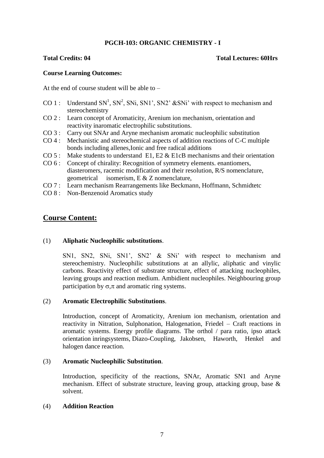### **PGCH-103: ORGANIC CHEMISTRY - I**

#### **Total Credits: 04 Total Lectures: 60Hrs**

#### **Course Learning Outcomes:**

At the end of course student will be able to –

- CO 1: Understand  $SN<sup>1</sup>$ ,  $SN<sup>2</sup>$ ,  $SNi$ ,  $SN1$ ',  $SN2$ ' &SNi' with respect to mechanism and stereochemistry
- CO 2 : Learn concept of Aromaticity, Arenium ion mechanism, orientation and reactivity inaromatic electrophilic substitutions.
- CO 3 : Carry out SNAr and Aryne mechanism aromatic nucleophilic substitution
- CO 4 : Mechanistic and stereochemical aspects of addition reactions of C-C multiple bonds including allenes,Ionic and free radical additions
- $CO 5$ : Make students to understand E1, E2 & E1cB mechanisms and their orientation
- CO 6 : Concept of chirality: Recognition of symmetry elements. enantiomers, diasteromers, racemic modification and their resolution, R/S nomenclature, geometrical isomerism, E & Z nomenclature,
- CO 7 : Learn mechanism Rearrangements like Beckmann, Hoffmann, Schmidtetc
- CO 8 : Non-Benzenoid Aromatics study

## **Course Content:**

#### (1) **Aliphatic Nucleophilic substitutions**.

SN1, SN2, SNi, SN1', SN2' & SNi' with respect to mechanism and stereochemistry. Nucleophilic substitutions at an allylic, aliphatic and vinylic carbons. Reactivity effect of substrate structure, effect of attacking nucleophiles, leaving groups and reaction medium. Ambidient nucleophiles. Neighbouring group participation by  $\sigma$ , $\pi$  and aromatic ring systems.

#### (2) **Aromatic Electrophilic Substitutions**.

Introduction, concept of Aromaticity, Arenium ion mechanism, orientation and reactivity in Nitration, Sulphonation, Halogenation, Friedel – Craft reactions in aromatic systems. Energy profile diagrams. The orthol / para ratio, ipso attack orientation inringsystems, Diazo-Coupling, Jakobsen, Haworth, Henkel and halogen dance reaction.

#### (3) **Aromatic Nucleophilic Substitution**.

Introduction, specificity of the reactions, SNAr, Aromatic SN1 and Aryne mechanism. Effect of substrate structure, leaving group, attacking group, base & solvent.

#### (4) **Addition Reaction**